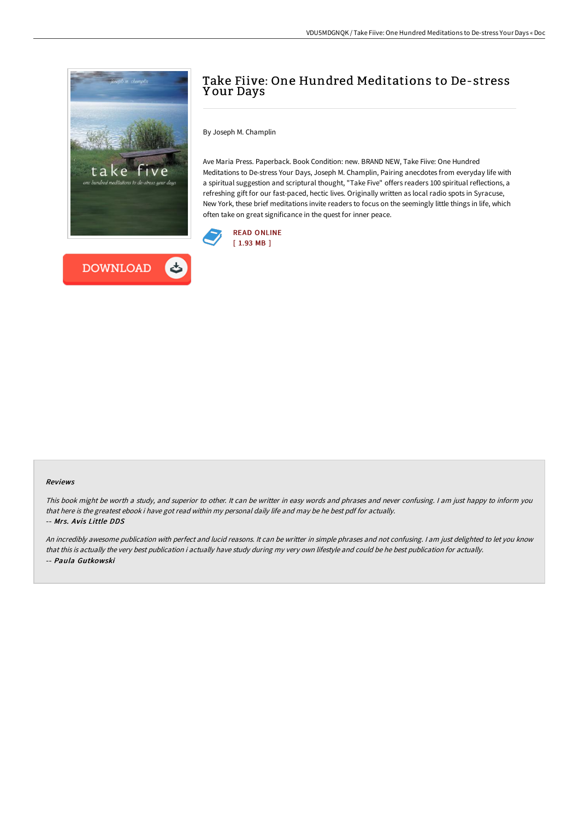



# Take Fiive: One Hundred Meditations to De-stress Y our Days

By Joseph M. Champlin

Ave Maria Press. Paperback. Book Condition: new. BRAND NEW, Take Fiive: One Hundred Meditations to De-stress Your Days, Joseph M. Champlin, Pairing anecdotes from everyday life with a spiritual suggestion and scriptural thought, "Take Five" offers readers 100 spiritual reflections, a refreshing gift for our fast-paced, hectic lives. Originally written as local radio spots in Syracuse, New York, these brief meditations invite readers to focus on the seemingly little things in life, which often take on great significance in the quest for inner peace.



#### Reviews

This book might be worth <sup>a</sup> study, and superior to other. It can be writter in easy words and phrases and never confusing. <sup>I</sup> am just happy to inform you that here is the greatest ebook i have got read within my personal daily life and may be he best pdf for actually. -- Mrs. Avis Little DDS

An incredibly awesome publication with perfect and lucid reasons. It can be writter in simple phrases and not confusing. <sup>I</sup> am just delighted to let you know that this is actually the very best publication i actually have study during my very own lifestyle and could be he best publication for actually. -- Paula Gutkowski